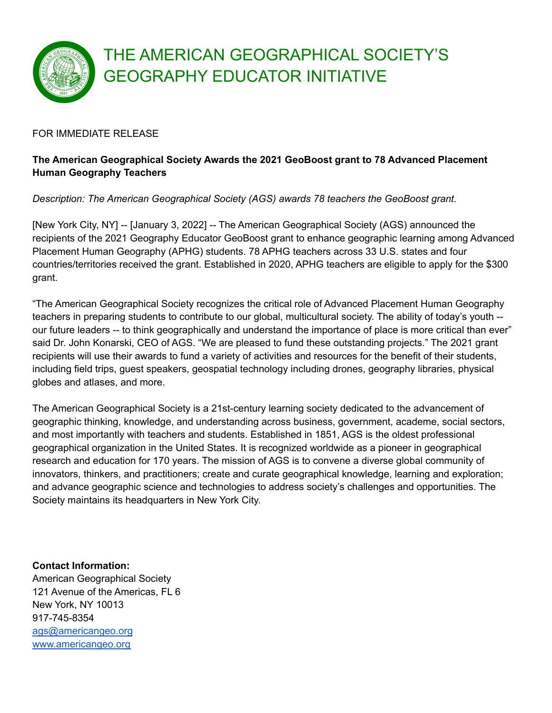

## THE AMERICAN GEOGRAPHICAL SOCIETY'S GEOGRAPHY EDUCATOR INITIATIVE

## FOR IMMEDIATE RELEASE

## **The American Geographical Society Awards the 2021 GeoBoost grant to 78 Advanced Placement Human Geography Teachers**

*Description: The American Geographical Society (AGS) awards 78 teachers the GeoBoost grant.*

[New York City, NY] -- [January 3, 2022] -- The American Geographical Society (AGS) announced the recipients of the 2021 Geography Educator GeoBoost grant to enhance geographic learning among Advanced Placement Human Geography (APHG) students. 78 APHG teachers across 33 U.S. states and four countries/territories received the grant. Established in 2020, APHG teachers are eligible to apply for the \$300 grant.

"The American Geographical Society recognizes the critical role of Advanced Placement Human Geography teachers in preparing students to contribute to our global, multicultural society. The ability of today's youth - our future leaders -- to think geographically and understand the importance of place is more critical than ever" said Dr. John Konarski, CEO of AGS. "We are pleased to fund these outstanding projects." The 2021 grant recipients will use their awards to fund a variety of activities and resources for the benefit of their students, including field trips, guest speakers, geospatial technology including drones, geography libraries, physical globes and atlases, and more.

The American Geographical Society is a 21st-century learning society dedicated to the advancement of geographic thinking, knowledge, and understanding across business, government, academe, social sectors, and most importantly with teachers and students. Established in 1851, AGS is the oldest professional geographical organization in the United States. It is recognized worldwide as a pioneer in geographical research and education for 170 years. The mission of AGS is to convene a diverse global community of innovators, thinkers, and practitioners; create and curate geographical knowledge, learning and exploration; and advance geographic science and technologies to address society's challenges and opportunities. The Society maintains its headquarters in New York City.

**Contact Information:** American Geographical Society 121 Avenue of the Americas, FL 6 New York, NY 10013 917-745-8354 [ags@americangeo.org](mailto:ags@americangeo.org) [www.americangeo.org](http://www.americangeo.org)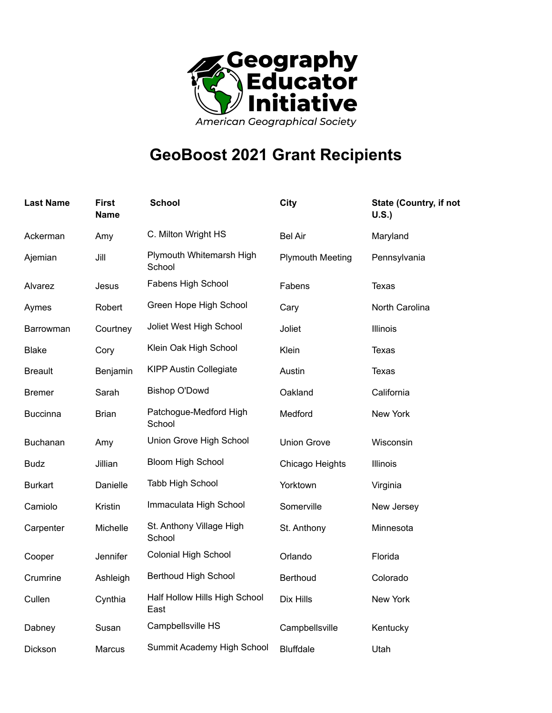

## **GeoBoost 2021 Grant Recipients**

| <b>Last Name</b> | <b>First</b><br>Name | <b>School</b>                         | <b>City</b>             | <b>State (Country, if not</b><br>U.S. |
|------------------|----------------------|---------------------------------------|-------------------------|---------------------------------------|
| Ackerman         | Amy                  | C. Milton Wright HS                   | <b>Bel Air</b>          | Maryland                              |
| Ajemian          | Jill                 | Plymouth Whitemarsh High<br>School    | <b>Plymouth Meeting</b> | Pennsylvania                          |
| Alvarez          | Jesus                | Fabens High School                    | Fabens                  | <b>Texas</b>                          |
| Aymes            | Robert               | Green Hope High School                | Cary                    | North Carolina                        |
| Barrowman        | Courtney             | Joliet West High School               | Joliet                  | Illinois                              |
| <b>Blake</b>     | Cory                 | Klein Oak High School                 | Klein                   | Texas                                 |
| <b>Breault</b>   | Benjamin             | <b>KIPP Austin Collegiate</b>         | Austin                  | <b>Texas</b>                          |
| <b>Bremer</b>    | Sarah                | <b>Bishop O'Dowd</b>                  | Oakland                 | California                            |
| <b>Buccinna</b>  | <b>Brian</b>         | Patchogue-Medford High<br>School      | Medford                 | New York                              |
| Buchanan         | Amy                  | Union Grove High School               | <b>Union Grove</b>      | Wisconsin                             |
| <b>Budz</b>      | Jillian              | <b>Bloom High School</b>              | Chicago Heights         | Illinois                              |
| <b>Burkart</b>   | Danielle             | Tabb High School                      | Yorktown                | Virginia                              |
| Camiolo          | Kristin              | Immaculata High School                | Somerville              | New Jersey                            |
| Carpenter        | Michelle             | St. Anthony Village High<br>School    | St. Anthony             | Minnesota                             |
| Cooper           | Jennifer             | <b>Colonial High School</b>           | Orlando                 | Florida                               |
| Crumrine         | Ashleigh             | <b>Berthoud High School</b>           | <b>Berthoud</b>         | Colorado                              |
| Cullen           | Cynthia              | Half Hollow Hills High School<br>East | Dix Hills               | New York                              |
| Dabney           | Susan                | Campbellsville HS                     | Campbellsville          | Kentucky                              |
| Dickson          | Marcus               | Summit Academy High School            | <b>Bluffdale</b>        | Utah                                  |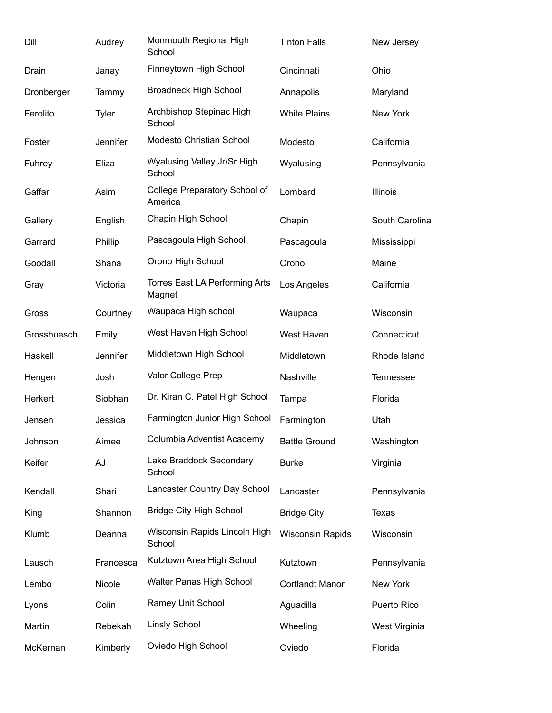| Dill        | Audrey       | Monmouth Regional High<br>School         | <b>Tinton Falls</b>     | New Jersey       |
|-------------|--------------|------------------------------------------|-------------------------|------------------|
| Drain       | Janay        | Finneytown High School                   | Cincinnati              | Ohio             |
| Dronberger  | Tammy        | <b>Broadneck High School</b>             | Annapolis               | Maryland         |
| Ferolito    | <b>Tyler</b> | Archbishop Stepinac High<br>School       | <b>White Plains</b>     | New York         |
| Foster      | Jennifer     | Modesto Christian School                 | Modesto                 | California       |
| Fuhrey      | Eliza        | Wyalusing Valley Jr/Sr High<br>School    | Wyalusing               | Pennsylvania     |
| Gaffar      | Asim         | College Preparatory School of<br>America | Lombard                 | Illinois         |
| Gallery     | English      | Chapin High School                       | Chapin                  | South Carolina   |
| Garrard     | Phillip      | Pascagoula High School                   | Pascagoula              | Mississippi      |
| Goodall     | Shana        | Orono High School                        | Orono                   | Maine            |
| Gray        | Victoria     | Torres East LA Performing Arts<br>Magnet | Los Angeles             | California       |
| Gross       | Courtney     | Waupaca High school                      | Waupaca                 | Wisconsin        |
| Grosshuesch | Emily        | West Haven High School                   | West Haven              | Connecticut      |
| Haskell     | Jennifer     | Middletown High School                   | Middletown              | Rhode Island     |
| Hengen      | Josh         | Valor College Prep                       | Nashville               | <b>Tennessee</b> |
| Herkert     | Siobhan      | Dr. Kiran C. Patel High School           | Tampa                   | Florida          |
| Jensen      | Jessica      | Farmington Junior High School            | Farmington              | Utah             |
| Johnson     | Aimee        | Columbia Adventist Academy               | <b>Battle Ground</b>    | Washington       |
| Keifer      | AJ           | Lake Braddock Secondary<br>School        | <b>Burke</b>            | Virginia         |
| Kendall     | Shari        | Lancaster Country Day School             | Lancaster               | Pennsylvania     |
| King        | Shannon      | <b>Bridge City High School</b>           | <b>Bridge City</b>      | <b>Texas</b>     |
| Klumb       | Deanna       | Wisconsin Rapids Lincoln High<br>School  | <b>Wisconsin Rapids</b> | Wisconsin        |
| Lausch      | Francesca    | Kutztown Area High School                | Kutztown                | Pennsylvania     |
| Lembo       | Nicole       | Walter Panas High School                 | <b>Cortlandt Manor</b>  | New York         |
| Lyons       | Colin        | Ramey Unit School                        | Aguadilla               | Puerto Rico      |
| Martin      | Rebekah      | <b>Linsly School</b>                     | Wheeling                | West Virginia    |
| McKernan    | Kimberly     | Oviedo High School                       | Oviedo                  | Florida          |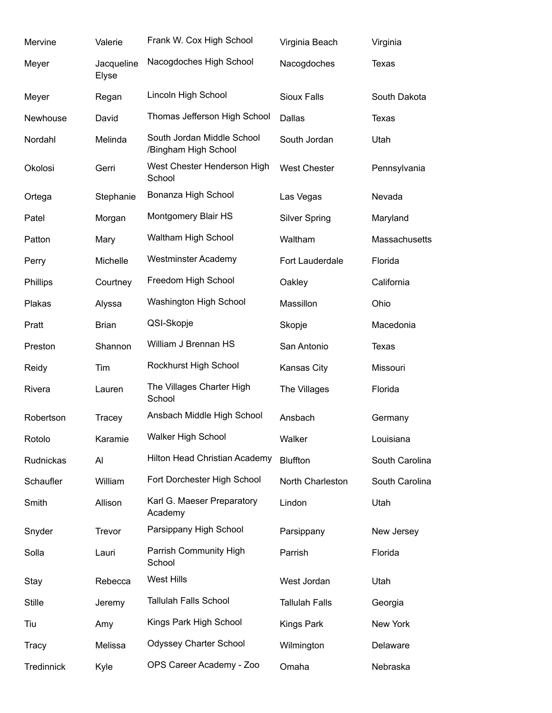| Mervine       | Valerie             | Frank W. Cox High School                           | Virginia Beach        | Virginia       |
|---------------|---------------------|----------------------------------------------------|-----------------------|----------------|
| Meyer         | Jacqueline<br>Elyse | Nacogdoches High School                            | Nacogdoches           | <b>Texas</b>   |
| Meyer         | Regan               | Lincoln High School                                | <b>Sioux Falls</b>    | South Dakota   |
| Newhouse      | David               | Thomas Jefferson High School                       | Dallas                | <b>Texas</b>   |
| Nordahl       | Melinda             | South Jordan Middle School<br>/Bingham High School | South Jordan          | Utah           |
| Okolosi       | Gerri               | West Chester Henderson High<br>School              | <b>West Chester</b>   | Pennsylvania   |
| Ortega        | Stephanie           | Bonanza High School                                | Las Vegas             | Nevada         |
| Patel         | Morgan              | Montgomery Blair HS                                | <b>Silver Spring</b>  | Maryland       |
| Patton        | Mary                | Waltham High School                                | Waltham               | Massachusetts  |
| Perry         | Michelle            | <b>Westminster Academy</b>                         | Fort Lauderdale       | Florida        |
| Phillips      | Courtney            | Freedom High School                                | Oakley                | California     |
| Plakas        | Alyssa              | Washington High School                             | Massillon             | Ohio           |
| Pratt         | <b>Brian</b>        | QSI-Skopje                                         | Skopje                | Macedonia      |
| Preston       | Shannon             | William J Brennan HS                               | San Antonio           | <b>Texas</b>   |
| Reidy         | Tim                 | Rockhurst High School                              | Kansas City           | Missouri       |
| Rivera        | Lauren              | The Villages Charter High<br>School                | The Villages          | Florida        |
| Robertson     | Tracey              | Ansbach Middle High School                         | Ansbach               | Germany        |
| Rotolo        | Karamie             | <b>Walker High School</b>                          | Walker                | Louisiana      |
| Rudnickas     | Al                  | <b>Hilton Head Christian Academy</b>               | <b>Bluffton</b>       | South Carolina |
| Schaufler     | William             | Fort Dorchester High School                        | North Charleston      | South Carolina |
| Smith         | Allison             | Karl G. Maeser Preparatory<br>Academy              | Lindon                | Utah           |
| Snyder        | Trevor              | Parsippany High School                             | Parsippany            | New Jersey     |
| Solla         | Lauri               | Parrish Community High<br>School                   | Parrish               | Florida        |
| Stay          | Rebecca             | <b>West Hills</b>                                  | West Jordan           | Utah           |
| <b>Stille</b> | Jeremy              | <b>Tallulah Falls School</b>                       | <b>Tallulah Falls</b> | Georgia        |
| Tiu           | Amy                 | Kings Park High School                             | Kings Park            | New York       |
| Tracy         | Melissa             | <b>Odyssey Charter School</b>                      | Wilmington            | Delaware       |
| Tredinnick    | Kyle                | OPS Career Academy - Zoo                           | Omaha                 | Nebraska       |